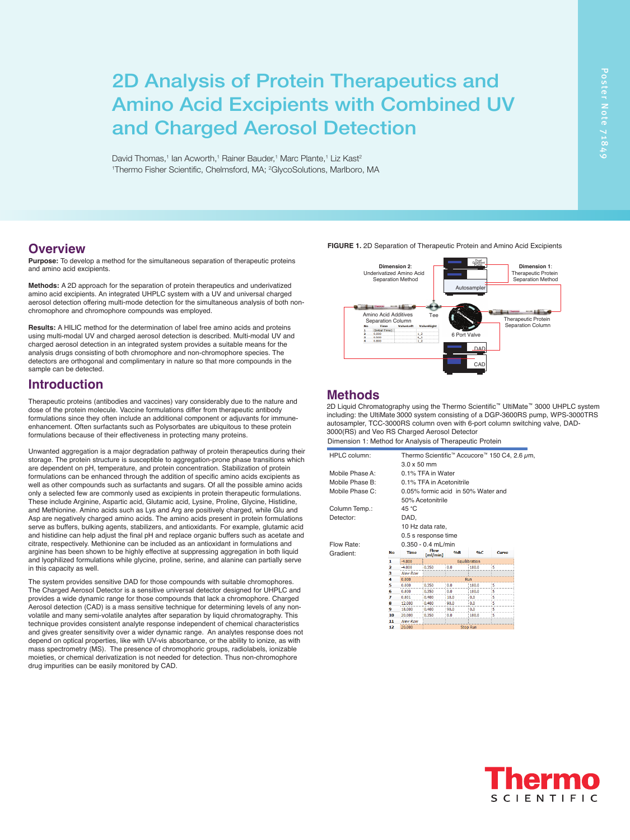David Thomas,<sup>1</sup> Ian Acworth,<sup>1</sup> Rainer Bauder,<sup>1</sup> Marc Plante,<sup>1</sup> Liz Kast<sup>2</sup> <sup>1</sup>Thermo Fisher Scientific, Chelmsford, MA; <sup>2</sup>GlycoSolutions, Marlboro, MA<br>1996 - March 2001, March 2002, March 2003, March 2003, Marlboro, MA Aerosol detection (CAD) is a mass sensitive technique for determining levels of any nonvolatile and many semi-volatile analytes after separation by liquid chromatography. This

### **Overview**

**Purpose:** To develop a method for the simultaneous separation of therapeutic proteins and amino acid excipients.

amino acid excipients. An integrated UHPLC system with a UV and universal charged aerosol detection offering multi-mode detection for the simultaneous analysis of both non-<br> **Bruce Bailey, and Evert-Disk Action** Action for the simultaneous analysis of both nonchromophore and chromophore compounds was employed.

using multi-modal UV and charged aerosol detection is described. Multi-modal UV and charged aerosol detection in an integrated system provides a suitable means for the analysis drugs consisting of both chromophore and non-chromophore species. The detectors are orthogonal and complimentary in nature so that more compounds in the sample can be detected.

## **Introduction**

Therapeutic proteins (antibodies and vaccines) vary considerably due to the nature and dose of the protein molecule. Vaccine formulations differ from therapeutic antibody formulations since they often include an additional component or adjuvants for immuneenhancement. Often surfactants such as Polysorbates are ubiquitous to these protein formulations because of their effectiveness in protecting many proteins.

Unwanted aggregation is a major degradation pathway of protein therapeutics during their storage. The protein structure is susceptible to aggregation-prone phase transitions which are dependent on pH, temperature, and protein concentration. Stabilization of protein formulations can be enhanced through the addition of specific amino acids excipients as well as other compounds such as surfactants and sugars. Of all the possible amino acids only a selected few are commonly used as excipients in protein therapeutic formulations. These include Arginine, Aspartic acid, Glutamic acid, Lysine, Proline, Glycine, Histidine, and Methionine. Amino acids such as Lys and Arg are positively charged, while Glu and Asp are negatively charged amino acids. The amino acids present in protein formulations serve as buffers, bulking agents, stabilizers, and antioxidants. For example, glutamic acid serve as burners, burning agents, stabilizers, and antioxidants. For example, gitalities and histidine can help adjust the final pH and replace organic buffers such as acetate and citrate, respectively. Methionine can be included as an antioxidant in formulations and arginine has been shown to be highly effective at suppressing aggregation in both liquid arginine has been shown to be highly effective at suppressing aggregation in both liquid and lyophilized formulations while glycine, proline, serine, and alanine can partially serve in this capacity as well.<br>in this capacity as well.

The system provides sensitive DAD for those compounds with suitable chromophores. The Charged Aerosol Detector is a sensitive universal detector designed for UHPLC and provides a wide dynamic range for those compounds that lack a chromophore. Charged Aerosol detection (CAD) is a mass sensitive technique for determining levels of any nonvolatile and many semi-volatile analytes after separation by liquid chromatography. This technique provides consistent analyte response independent of chemical characteristics and gives greater sensitivity over a wider dynamic range. An analytes response does not depend on optical properties, like with UV-vis absorbance, or the ability to ionize, as with mass spectrometry (MS). The presence of chromophoric groups, radiolabels, ionizable moieties, or chemical derivatization is not needed for detection. Thus non-chromophore drug impurities can be easily monitored by CAD. mente superty, as non-<br>The system provides sensitive DAD for those compounds with suitable chromophore

**FIGURE 1.** 2D Separation of Therapeutic Protein and Amino Acid Excipients

drug impurities can be easily monitored by CAD.

and gives greater sensitivity over a wider dynamic range. An analytes response does not depend on optical properties, like with UV-vis absorbance, or the ability to ionize, as with mass spectrometry (MS). The presence of chromophoric groups, radiolabels, ionizable moieties, or chemical derivatization is not needed for detection. Thus non-chromophore

Unwanted aggregation is a major degradation is a major degradation pathway of protein their protein their protei storage. The protein structure is susceptible to aggregation-prone phase transitions which are dependent on pH, temperature, and protein concentration. Stabilization of protein formulations can be enhanced through the addition of specific amino acids excipients as well as other compounds such as surfactants and such as surfact and such as surfact amino acids and such amino only a selected few are commonly used as excipients in protein therapeutic formulations. These include Arginine, Aspartic acid, Glutamic acid, Lysine, Proline, Glycine, Histidine, and Methionine. Amino acids such as Lys and Arg are positively charged, while Glu and



# **Methods**

2D Liquid Chromatography using the Thermo Scientific™ UltiMate™ 3000 UHPLC system including: the UltiMate 3000 system consisting of a DGP-3600RS pump, WPS-3000TRS autosampler, TCC-3000RS column oven with 6-port column switching valve, DAD-3000(RS) and Veo RS Charged Aerosol Detector

| Dimension 1: Method for Analysis of Therapeutic Protein |  |
|---------------------------------------------------------|--|
|---------------------------------------------------------|--|

| HPLC column:    |    | Thermo Scientific <sup>™</sup> Accucore <sup>™</sup> 150 C4, 2.6 $\mu$ m,<br>$3.0 \times 50$ mm |                              |      |       |       |  |
|-----------------|----|-------------------------------------------------------------------------------------------------|------------------------------|------|-------|-------|--|
| Mobile Phase A: |    | 0.1% TFA in Water                                                                               |                              |      |       |       |  |
| Mobile Phase B: |    | 0.1% TFA in Acetonitrile                                                                        |                              |      |       |       |  |
|                 |    |                                                                                                 |                              |      |       |       |  |
| Mobile Phase C: |    | 0.05% formic acid in 50% Water and                                                              |                              |      |       |       |  |
|                 |    |                                                                                                 | 50% Acetonitrile             |      |       |       |  |
| Column Temp.:   |    | 45 °C                                                                                           |                              |      |       |       |  |
| Detector:       |    | DAD,                                                                                            |                              |      |       |       |  |
|                 |    |                                                                                                 |                              |      |       |       |  |
|                 |    | 10 Hz data rate,                                                                                |                              |      |       |       |  |
|                 |    | 0.5 s response time                                                                             |                              |      |       |       |  |
| Flow Rate:      |    | $0.350 - 0.4$ mL/min                                                                            |                              |      |       |       |  |
| Gradient:       | No | <b>Time</b>                                                                                     | <b>Flow</b><br>$m$ l/min $1$ | 9/6B | 9/6C  | Curve |  |
|                 | 1  | $-4.000$                                                                                        | Equilibration                |      |       |       |  |
|                 | 2  | -4 NNN                                                                                          | 0.350                        | 0.0  | 100 A | 5     |  |
|                 | з  | New Row                                                                                         |                              |      |       |       |  |
|                 | 4  | 0.000                                                                                           | Run                          |      |       |       |  |
|                 | 5  | 0.000                                                                                           | 0.350                        | 0.0  | 100.0 | 5     |  |
|                 | 6  | 0.800                                                                                           | 0.350                        | 0.0  | 100.0 | 5     |  |
|                 | 7  | 0.801                                                                                           | 0.400                        | 10.0 | 0.0   | 5     |  |
|                 | 8  | 12,000                                                                                          | 0.400                        | 90.0 | 0.0   | 5     |  |
|                 | 9  | 18,000                                                                                          | 0.400                        | 90.0 | 0.0   | 5     |  |
|                 | 10 | 20,000                                                                                          | 0.350                        | 0.0  | 100.0 | 5     |  |
|                 | 11 | <b>New Row</b>                                                                                  |                              |      |       |       |  |
|                 | 12 | 20,000<br><b>Stop Run</b>                                                                       |                              |      |       |       |  |

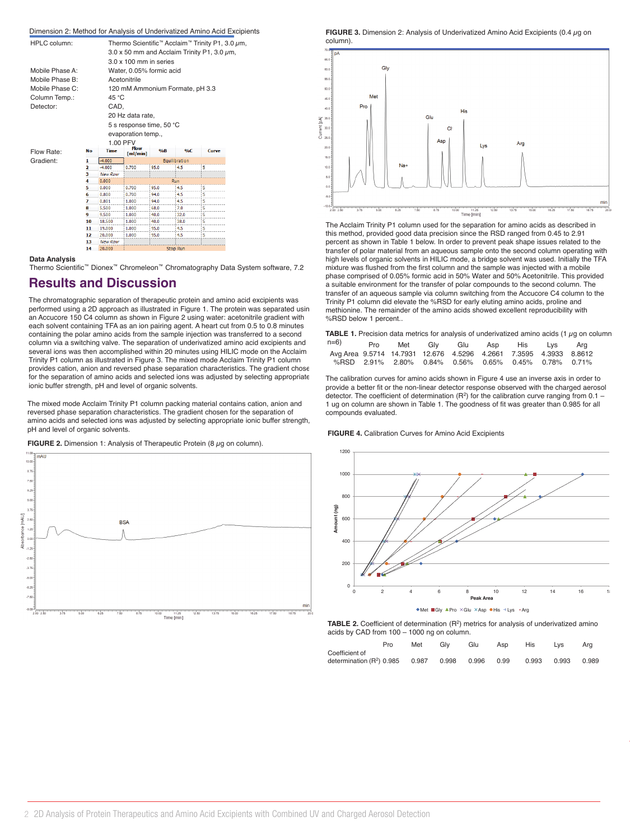| Dimension 2: Method for Analysis of Underivatized Amino Acid Excipients |     |                    |                                                                              |      |               |       |  |
|-------------------------------------------------------------------------|-----|--------------------|------------------------------------------------------------------------------|------|---------------|-------|--|
| <b>HPLC</b> column:                                                     |     |                    | Thermo Scientific <sup>™</sup> Acclaim <sup>™</sup> Trinity P1, 3.0 $\mu$ m, |      |               |       |  |
|                                                                         |     |                    | $3.0 \times 50$ mm and Acclaim Trinity P1, 3.0 $\mu$ m,                      |      |               |       |  |
|                                                                         |     |                    | $3.0 \times 100$ mm in series                                                |      |               |       |  |
| Mobile Phase A:                                                         |     |                    | Water, 0.05% formic acid                                                     |      |               |       |  |
| Mobile Phase B:                                                         |     | Acetonitrile       |                                                                              |      |               |       |  |
| Mobile Phase C:                                                         |     |                    | 120 mM Ammonium Formate, pH 3.3                                              |      |               |       |  |
|                                                                         |     |                    |                                                                              |      |               |       |  |
| Column Temp.:                                                           |     | 45 °C              |                                                                              |      |               |       |  |
| Detector:                                                               |     | CAD.               |                                                                              |      |               |       |  |
|                                                                         |     |                    | 20 Hz data rate,                                                             |      |               |       |  |
|                                                                         |     |                    | 5 s response time, 50 °C                                                     |      |               |       |  |
|                                                                         |     |                    | evaporation temp.,                                                           |      |               |       |  |
|                                                                         |     |                    | 1.00 PFV                                                                     |      |               |       |  |
| Flow Rate:                                                              | No  | <b>Time</b>        | <b>Flow</b>                                                                  | 9/6B | 9/6C          | Curve |  |
|                                                                         | 1   | $-4.000$           | [m]/min]                                                                     |      | Equilibration |       |  |
| Gradient:                                                               | 2   | $-4.000$           | 0.700                                                                        | 95.0 | 4.5           | 5     |  |
|                                                                         | з   | <b>New Row</b>     |                                                                              |      |               |       |  |
|                                                                         | 4   | 0.000              |                                                                              |      | Run           |       |  |
|                                                                         | 5   | 0.000              | 0.700                                                                        | 95.0 | 4.5           | 5     |  |
|                                                                         | 6   | 0.800              | 0.700                                                                        | 94.0 | 4.5           | 5     |  |
|                                                                         | 7   | 0.801              | 1.000                                                                        | 94.0 | 4.5           | 5     |  |
|                                                                         | 8   | 5.500              | 1.000                                                                        | 68.0 | 7.0           | 5     |  |
|                                                                         | 9   | 9,500              | 1.000                                                                        | 40.0 | 32.0          | 5     |  |
|                                                                         | 10  | 18,500             | 1.000                                                                        | 40.0 | 38.0          | 5     |  |
|                                                                         | 11  | 19,000             | 1.000                                                                        | 95.0 | 4.5           | 5     |  |
|                                                                         | 12  | 20,000             | 1,000                                                                        | 95.0 | 4.5           | 5     |  |
|                                                                         | 12. | <b>Money Donne</b> |                                                                              |      |               |       |  |

#### **Data Analysis**

Thermo Scientific™ Dionex™ Chromeleon™ Chromatography Data System software, 7.2

Stop Run

### **Results and Discussion**

20.000  $\overline{14}$ 

The chromatographic separation of therapeutic protein and amino acid excipients was performed using a 2D approach as illustrated in Figure 1. The protein was separated usin<br>an Accupate 150 C4 column as shown in Figure 2 using water: acctonitie gradient with an Accucore 150 C4 column as shown in Figure 2 using water: acetonitrile gradient with<br>each solvent containing TFA as an ion pairing agent. A heart cut from 0.5 to 0.8 minutes was also below 1 percent.. each solvent containing TFA as an ion pairing agent. A heart cut from 0.5 to 0.8 minutes containing the polar amino acids from the sample injection was transferred to a second column via a switching valve. The separation of underivatized amino acid excipients and several ions was then accomplished within 20 minutes using HILIC mode on the Acclaim Trinity P1 column as illustrated in Figure 3. The mixed mode Acclaim Trinity P1 column provides cation, anion and reversed phase separation characteristics. The gradient chose for the separation of amino acids and selected ions was adjusted by selecting appropriate ionic buffer strength, pH and level of organic solvents. **1Thermo Fisher Scientific Containing, TTA**<br>1 Containing the polar amino at **1 Trinity P1 column as illustrandly** P1 column as illustrandly

> The mixed mode Acclaim Trinity P1 column packing material contains cation, anion and reversed phase separation characteristics. The gradient chosen for the separation of amino acids and selected ions was adjusted by selecting appropriate ionic buffer strength, pH and level of organic solvents. The mixed mode Acclaim Trinity P1 column packing material contains cation, anion and  $\mu$ 1 cma lovor or organic corvorms.

**FIGURE 2.** Dimension 1: Analysis of Therapeutic Protein (8  $\mu$ g on column).



**FIGURE 3.** Dimension 2: Analysis of Underivatized Amino Acid Excipients (0.4  $\mu$ g on column).



 $\rho_{\text{min}}$  in  $\rho_{\text{min}}$ The Acclaim Trinity P1 column used for the separation for amino acids as described in this method, provided good data precision since the RSD ranged from 0.45 to 2.91 percent as shown in Table 1 below. In order to prevent peak shape issues related to the transfer of polar material from an aqueous sample onto the second column operating with high levels of organic solvents in HILIC mode, a bridge solvent was used. Initially the TFA mixture was flushed from the first column and the sample was injected with a mobile phase comprised of 0.05% formic acid in 50% Water and 50% Acetonitrile. This provided a suitable environment for the transfer of polar compounds to the second column. The transfer of an aqueous sample via column switching from the Accucore C4 column to the %RSD below 1 percent.. methionine. The remainder of the amino acids showed excellent reproducibility with **2D Analysis of Protein Therapeutic SCUSSION**<br>The chromatographic separation of therapeutic protein and amino acid excipients was<br>Tright Detection and Charged Assembly and Charged Aerosol Detection and Charged Agricultus D Trinity P1 column did elevate the %RSD for early eluting amino acids, proline and

> Avg Area 9.5714 14.7931 12.676 4.5296 4.2661 7.3595 4.3933 8.8612 **TABLE 1.** Precision data metrics for analysis of underivatized amino acids (1 µg on column Avg Area 9.5714 14.7931 12.676 4.5296 4.2661 7.3595 4.3933 8.8612 %RSD 2.91% 2.80% 0.84% 0.56% 0.65% 0.45% 0.78% 0.71% Pro Met Gly Glu Asp His Lys Arg %RSD 2.91% 2.80% 0.84% 0.56% 0.65% 0.45% 0.78% 0.71%  $n=6$ )

The calibration curves for amino acids shown in Figure 4 use an inverse axis in order to provide a better fit or the non-linear detector response observed with the charged aerosol 1 ug on column are shown in Table 1. The goodness of fit was greater than 0.985 for all detector. The coefficient of determination (R<sup>2</sup>) for the calibration curve ranging from 0.1 – compounds evaluated.

**FIGURE 4.** Calibration Curves for Amino Acid Excipients



**TABLE 2.** Coefficient of determination (R<sup>2</sup>) metrics for analysis of underivatized amino acids by CAD from 100 – 1000 ng on column.

|                                                                                | Pro | Met | Glv | Glu | Asp | His   | Lvs   | Ara   |
|--------------------------------------------------------------------------------|-----|-----|-----|-----|-----|-------|-------|-------|
| Coefficient of<br>determination (R <sup>2</sup> ) 0.985 0.987 0.998 0.996 0.99 |     |     |     |     |     | 0.993 | 0.993 | 0.989 |
|                                                                                |     |     |     |     |     |       |       |       |